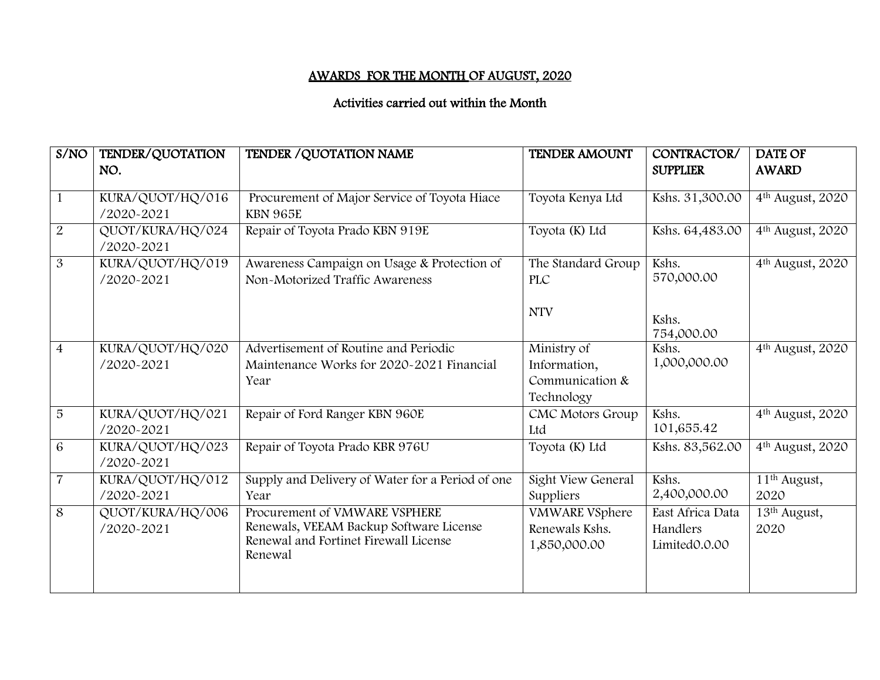## AWARDS FOR THE MONTH OF AUGUST, 2020

## Activities carried out within the Month

| S/NO           | TENDER/QUOTATION | TENDER / QUOTATION NAME                          | <b>TENDER AMOUNT</b>  | CONTRACTOR/         | <b>DATE OF</b>               |
|----------------|------------------|--------------------------------------------------|-----------------------|---------------------|------------------------------|
|                | NO.              |                                                  |                       | <b>SUPPLIER</b>     | <b>AWARD</b>                 |
| 1              | KURA/QUOT/HQ/016 | Procurement of Major Service of Toyota Hiace     | Toyota Kenya Ltd      | Kshs. 31,300.00     | 4 <sup>th</sup> August, 2020 |
|                | /2020-2021       | <b>KBN 965E</b>                                  |                       |                     |                              |
| 2              | QUOT/KURA/HQ/024 | Repair of Toyota Prado KBN 919E                  | Toyota (K) Ltd        | Kshs. 64,483.00     | 4 <sup>th</sup> August, 2020 |
|                | /2020-2021       |                                                  |                       |                     |                              |
| 3              | KURA/QUOT/HQ/019 | Awareness Campaign on Usage & Protection of      | The Standard Group    | Kshs.               | 4 <sup>th</sup> August, 2020 |
|                | /2020-2021       | Non-Motorized Traffic Awareness                  | <b>PLC</b>            | 570,000.00          |                              |
|                |                  |                                                  | <b>NTV</b>            |                     |                              |
|                |                  |                                                  |                       | Kshs.               |                              |
| $\overline{4}$ | KURA/QUOT/HQ/020 | Advertisement of Routine and Periodic            | Ministry of           | 754,000.00<br>Kshs. | 4 <sup>th</sup> August, 2020 |
|                | /2020-2021       | Maintenance Works for 2020-2021 Financial        | Information,          | 1,000,000.00        |                              |
|                |                  | Year                                             | Communication &       |                     |                              |
|                |                  |                                                  | Technology            |                     |                              |
| 5              | KURA/QUOT/HQ/021 | Repair of Ford Ranger KBN 960E                   | CMC Motors Group      | Kshs.               | 4 <sup>th</sup> August, 2020 |
|                | /2020-2021       |                                                  | Ltd                   | 101,655.42          |                              |
| 6              | KURA/QUOT/HQ/023 | Repair of Toyota Prado KBR 976U                  | Toyota (K) Ltd        | Kshs. 83,562.00     | 4 <sup>th</sup> August, 2020 |
|                | /2020-2021       |                                                  |                       |                     |                              |
| $\overline{7}$ | KURA/QUOT/HQ/012 | Supply and Delivery of Water for a Period of one | Sight View General    | Kshs.               | 11 <sup>th</sup> August,     |
|                | /2020-2021       | Year                                             | Suppliers             | 2,400,000.00        | 2020                         |
| 8              | QUOT/KURA/HQ/006 | Procurement of VMWARE VSPHERE                    | <b>VMWARE VSphere</b> | East Africa Data    | $13th$ August,               |
|                | /2020-2021       | Renewals, VEEAM Backup Software License          | Renewals Kshs.        | Handlers            | 2020                         |
|                |                  | Renewal and Fortinet Firewall License<br>Renewal | 1,850,000.00          | Limited0.0.00       |                              |
|                |                  |                                                  |                       |                     |                              |
|                |                  |                                                  |                       |                     |                              |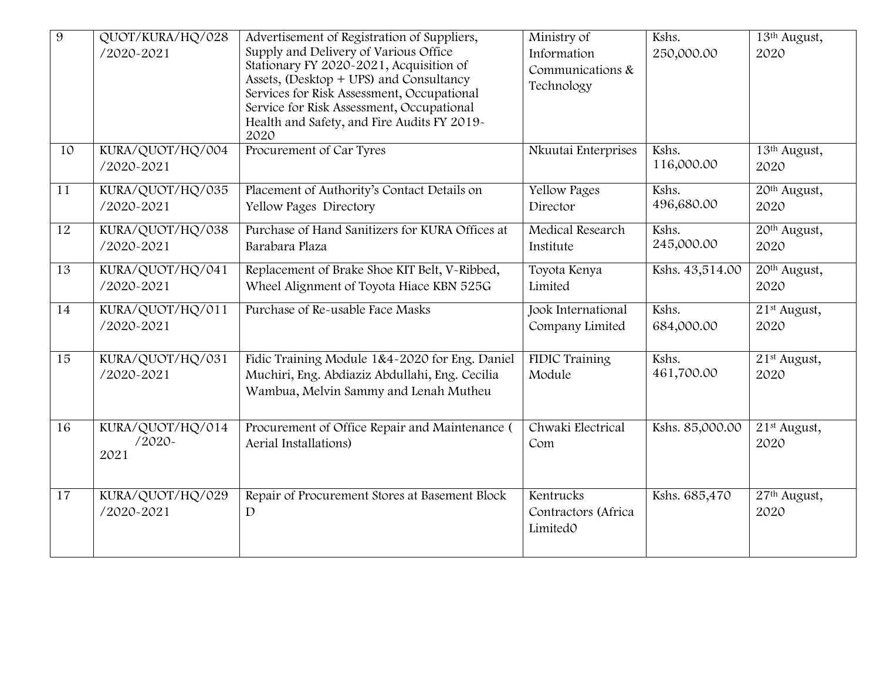| $\overline{9}$ | QUOT/KURA/HQ/028<br>/2020-2021       | Advertisement of Registration of Suppliers,<br>Supply and Delivery of Various Office<br>Stationary FY 2020-2021, Acquisition of<br>Assets, (Desktop + UPS) and Consultancy<br>Services for Risk Assessment, Occupational<br>Service for Risk Assessment, Occupational<br>Health and Safety, and Fire Audits FY 2019-<br>2020 | Ministry of<br>Information<br>Communications &<br>Technology | Kshs.<br>250,000.00 | 13th August,<br>2020             |
|----------------|--------------------------------------|------------------------------------------------------------------------------------------------------------------------------------------------------------------------------------------------------------------------------------------------------------------------------------------------------------------------------|--------------------------------------------------------------|---------------------|----------------------------------|
| 10             | KURA/QUOT/HQ/004<br>/2020-2021       | Procurement of Car Tyres                                                                                                                                                                                                                                                                                                     | Nkuutai Enterprises                                          | Kshs.<br>116,000.00 | 13th August,<br>2020             |
| 11             | KURA/QUOT/HQ/035<br>/2020-2021       | Placement of Authority's Contact Details on<br>Yellow Pages Directory                                                                                                                                                                                                                                                        | <b>Yellow Pages</b><br>Director                              | Kshs.<br>496,680.00 | 20th August,<br>2020             |
| 12             | KURA/QUOT/HQ/038<br>/2020-2021       | Purchase of Hand Sanitizers for KURA Offices at<br>Barabara Plaza                                                                                                                                                                                                                                                            | Medical Research<br>Institute                                | Kshs.<br>245,000.00 | 20 <sup>th</sup> August,<br>2020 |
| 13             | KURA/QUOT/HQ/041<br>/2020-2021       | Replacement of Brake Shoe KIT Belt, V-Ribbed,<br>Wheel Alignment of Toyota Hiace KBN 525G                                                                                                                                                                                                                                    | Toyota Kenya<br>Limited                                      | Kshs. 43,514.00     | 20th August,<br>2020             |
| 14             | KURA/QUOT/HQ/011<br>/2020-2021       | Purchase of Re-usable Face Masks                                                                                                                                                                                                                                                                                             | Jook International<br>Company Limited                        | Kshs.<br>684,000.00 | 21 <sup>st</sup> August,<br>2020 |
| 15             | KURA/QUOT/HQ/031<br>/2020-2021       | Fidic Training Module 1&4~2020 for Eng. Daniel<br>Muchiri, Eng. Abdiaziz Abdullahi, Eng. Cecilia<br>Wambua, Melvin Sammy and Lenah Mutheu                                                                                                                                                                                    | <b>FIDIC Training</b><br>Module                              | Kshs.<br>461,700.00 | 21 <sup>st</sup> August,<br>2020 |
| 16             | KURA/QUOT/HQ/014<br>$/2020-$<br>2021 | Procurement of Office Repair and Maintenance (<br>Aerial Installations)                                                                                                                                                                                                                                                      | Chwaki Electrical<br>Com                                     | Kshs. 85,000.00     | 21 <sup>st</sup> August,<br>2020 |
| 17             | KURA/QUOT/HQ/029<br>/2020-2021       | Repair of Procurement Stores at Basement Block<br>$\mathbf{D}$                                                                                                                                                                                                                                                               | Kentrucks<br>Contractors (Africa<br>LimitedO                 | Kshs. 685,470       | 27 <sup>th</sup> August,<br>2020 |